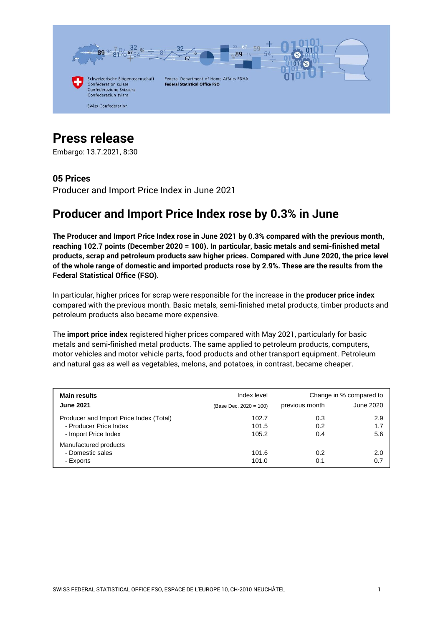

# **Press release**

Embargo: 13.7.2021, 8:30

# **05 Prices**

Producer and Import Price Index in June 2021

# **Producer and Import Price Index rose by 0.3% in June**

**The Producer and Import Price Index rose in June 2021 by 0.3% compared with the previous month, reaching 102.7 points (December 2020 = 100). In particular, basic metals and semi-finished metal products, scrap and petroleum products saw higher prices. Compared with June 2020, the price level of the whole range of domestic and imported products rose by 2.9%. These are the results from the Federal Statistical Office (FSO).**

In particular, higher prices for scrap were responsible for the increase in the **producer price index** compared with the previous month. Basic metals, semi-finished metal products, timber products and petroleum products also became more expensive.

The **import price index** registered higher prices compared with May 2021, particularly for basic metals and semi-finished metal products. The same applied to petroleum products, computers, motor vehicles and motor vehicle parts, food products and other transport equipment. Petroleum and natural gas as well as vegetables, melons, and potatoes, in contrast, became cheaper.

| <b>Main results</b>                     | Index level            | Change in % compared to |           |  |
|-----------------------------------------|------------------------|-------------------------|-----------|--|
| <b>June 2021</b>                        | (Base Dec. 2020 = 100) | previous month          | June 2020 |  |
| Producer and Import Price Index (Total) | 102.7                  | 0.3                     | 2.9       |  |
| - Producer Price Index                  | 101.5                  | 0.2                     | 1.7       |  |
| - Import Price Index                    | 105.2                  | 0.4                     | 5.6       |  |
| Manufactured products                   |                        |                         |           |  |
| - Domestic sales                        | 101.6                  | 0.2                     | 2.0       |  |
| - Exports                               | 101.0                  | 0.1                     | 0.7       |  |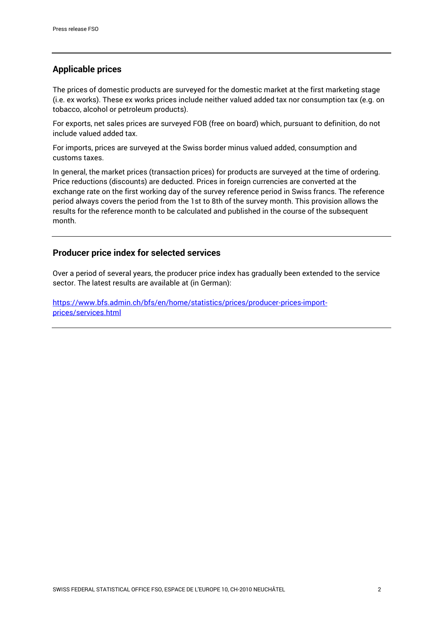# **Applicable prices**

The prices of domestic products are surveyed for the domestic market at the first marketing stage (i.e. ex works). These ex works prices include neither valued added tax nor consumption tax (e.g. on tobacco, alcohol or petroleum products).

For exports, net sales prices are surveyed FOB (free on board) which, pursuant to definition, do not include valued added tax.

For imports, prices are surveyed at the Swiss border minus valued added, consumption and customs taxes.

In general, the market prices (transaction prices) for products are surveyed at the time of ordering. Price reductions (discounts) are deducted. Prices in foreign currencies are converted at the exchange rate on the first working day of the survey reference period in Swiss francs. The reference period always covers the period from the 1st to 8th of the survey month. This provision allows the results for the reference month to be calculated and published in the course of the subsequent month.

### **Producer price index for selected services**

Over a period of several years, the producer price index has gradually been extended to the service sector. The latest results are available at (in German):

[https://www.bfs.admin.ch/bfs/en/home/statistics/prices/producer-prices-import](https://www.bfs.admin.ch/bfs/en/home/statistics/prices/producer-prices-import-prices/services.html)[prices/services.html](https://www.bfs.admin.ch/bfs/en/home/statistics/prices/producer-prices-import-prices/services.html)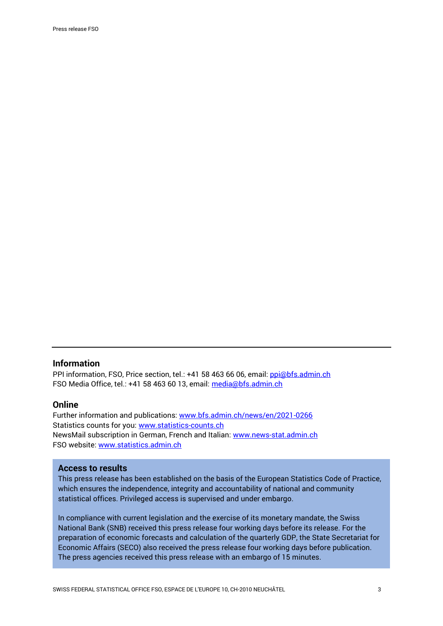#### **Information**

PPI information, FSO, Price section, tel.: +41 58 463 66 06, email: [ppi@bfs.admin.ch](mailto:ppi@bfs.admin.ch) FSO Media Office, tel.: +41 58 463 60 13, email: [media@bfs.admin.ch](mailto:media@bfs.admin.ch)

#### **Online**

Further information and publications: [www.bfs.admin.ch/news/en/2021-0266](https://www.bfs.admin.ch/news/en/2021-0266) Statistics counts for you: [www.statistics-counts.ch](https://statistics-counts.ch/) NewsMail subscription in German, French and Italian: [www.news-stat.admin.ch](https://www.bfs.admin.ch/bfs/de/home/dienstleistungen/kontakt/newsmail-abonnement.html) FSO website: [www.statistics.admin.ch](https://www.bfs.admin.ch/bfs/en/home.html)

#### **Access to results**

This press release has been established on the basis of the European Statistics Code of Practice, which ensures the independence, integrity and accountability of national and community statistical offices. Privileged access is supervised and under embargo.

In compliance with current legislation and the exercise of its monetary mandate, the Swiss National Bank (SNB) received this press release four working days before its release. For the preparation of economic forecasts and calculation of the quarterly GDP, the State Secretariat for Economic Affairs (SECO) also received the press release four working days before publication. The press agencies received this press release with an embargo of 15 minutes.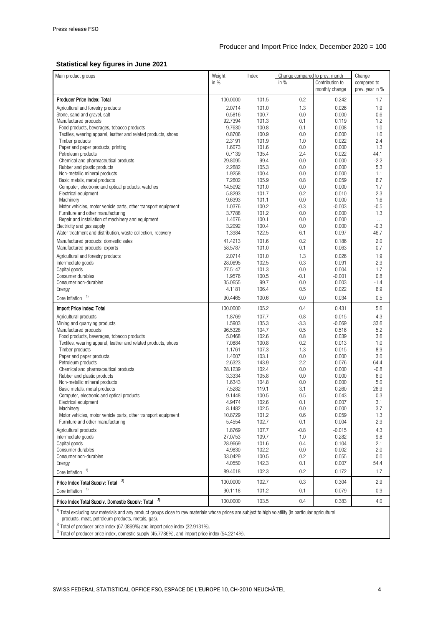#### **Statistical key figures in June 2021**

| Main product groups                                                                                                                                               | Weight            | Index          | Change compared to prev. month |                   | Change          |  |  |
|-------------------------------------------------------------------------------------------------------------------------------------------------------------------|-------------------|----------------|--------------------------------|-------------------|-----------------|--|--|
|                                                                                                                                                                   | in $%$            |                | in $%$                         | Contribution to   | compared to     |  |  |
|                                                                                                                                                                   |                   |                |                                | monthly change    | prev. year in % |  |  |
| Producer Price Index: Total                                                                                                                                       | 100.0000          | 101.5          | 0.2                            | 0.242             | 1.7             |  |  |
| Agricultural and forestry products                                                                                                                                | 2.0714            | 101.0          | 1.3                            | 0.026             | 1.9             |  |  |
| Stone, sand and gravel, salt                                                                                                                                      | 0.5816            | 100.7          | 0.0                            | 0.000             | 0.6             |  |  |
| Manufactured products                                                                                                                                             | 92.7394           | 101.3          | 0.1                            | 0.119             | 1.2             |  |  |
| Food products, beverages, tobacco products                                                                                                                        | 9.7630            | 100.8          | 0.1                            | 0.008             | 1.0             |  |  |
| Textiles, wearing apparel, leather and related products, shoes<br>Timber products                                                                                 | 0.8706<br>2.3191  | 100.9<br>101.9 | 0.0<br>1.0                     | 0.000<br>0.022    | 1.0<br>2.4      |  |  |
| Paper and paper products, printing                                                                                                                                | 1.6073            | 101.6          | 0.0                            | 0.000             | 1.3             |  |  |
| Petroleum products                                                                                                                                                | 0.7139            | 135.4          | 2.4                            | 0.022             | 44.1            |  |  |
| Chemical and pharmaceutical products                                                                                                                              | 29.8095           | 99.4           | 0.0                            | 0.000             | $-2.2$          |  |  |
| Rubber and plastic products                                                                                                                                       | 2.2682            | 105.3          | 0.0                            | 0.000             | 5.3             |  |  |
| Non-metallic mineral products                                                                                                                                     | 1.9258            | 100.4          | 0.0                            | 0.000             | 1.1             |  |  |
| Basic metals, metal products                                                                                                                                      | 7.2602            | 105.9          | 0.8                            | 0.059             | 6.7             |  |  |
| Computer, electronic and optical products, watches                                                                                                                | 14.5092           | 101.0          | 0.0                            | 0.000             | 1.7             |  |  |
| Electrical equipment                                                                                                                                              | 5.8293            | 101.7          | 0.2                            | 0.010             | 2.3             |  |  |
| Machinery                                                                                                                                                         | 9.6393            | 101.1          | 0.0                            | 0.000             | 1.6             |  |  |
| Motor vehicles, motor vehicle parts, other transport equipment                                                                                                    | 1.0376            | 100.2          | $-0.3$                         | $-0.003$          | $-0.5$          |  |  |
| Furniture and other manufacturing                                                                                                                                 | 3.7788            | 101.2          | 0.0                            | 0.000             | 1.3             |  |  |
| Repair and installation of machinery and equipment                                                                                                                | 1.4076            | 100.1          | 0.0                            | 0.000             | $\cdots$        |  |  |
| Electricity and gas supply<br>Water treatment and distribution, waste collection, recovery                                                                        | 3.2092<br>1.3984  | 100.4<br>122.5 | 0.0<br>6.1                     | 0.000<br>0.097    | $-0.3$<br>46.7  |  |  |
|                                                                                                                                                                   |                   |                |                                |                   |                 |  |  |
| Manufactured products: domestic sales                                                                                                                             | 41.4213           | 101.6          | 0.2                            | 0.186             | 2.0             |  |  |
| Manufactured products: exports                                                                                                                                    | 58.5787           | 101.0          | 0.1                            | 0.063             | 0.7             |  |  |
| Agricultural and forestry products                                                                                                                                | 2.0714            | 101.0          | 1.3                            | 0.026             | 1.9             |  |  |
| Intermediate goods                                                                                                                                                | 28.0695           | 102.5          | 0.3                            | 0.091             | 2.9             |  |  |
| Capital goods                                                                                                                                                     | 27.5147           | 101.3          | 0.0                            | 0.004             | 1.7             |  |  |
| Consumer durables<br>Consumer non-durables                                                                                                                        | 1.9576<br>35.0655 | 100.5<br>99.7  | $-0.1$<br>0.0                  | $-0.001$<br>0.003 | 0.8<br>-1.4     |  |  |
| Energy                                                                                                                                                            | 4.1181            | 106.4          | 0.5                            | 0.022             | 6.9             |  |  |
| 1)                                                                                                                                                                | 90.4465           | 100.6          | 0.0                            | 0.034             | 0.5             |  |  |
| Core inflation                                                                                                                                                    |                   |                |                                |                   |                 |  |  |
| Import Price Index: Total                                                                                                                                         | 100.0000          | 105.2          | 0.4                            | 0.431             | 5.6             |  |  |
| Agricultural products                                                                                                                                             | 1.8769            | 107.7          | $-0.8$                         | $-0.015$          | 4.3             |  |  |
| Mining and quarrying products                                                                                                                                     | 1.5903<br>96.5328 | 135.3<br>104.7 | -3.3<br>0.5                    | $-0.069$<br>0.516 | 33.6<br>5.2     |  |  |
| Manufactured products<br>Food products, beverages, tobacco products                                                                                               | 5.0468            | 102.6          | 0.8                            | 0.039             | 3.6             |  |  |
| Textiles, wearing apparel, leather and related products, shoes                                                                                                    | 7.0884            | 100.8          | 0.2                            | 0.013             | 1.0             |  |  |
| Timber products                                                                                                                                                   | 1.1761            | 107.3          | 1.3                            | 0.015             | 8.9             |  |  |
| Paper and paper products                                                                                                                                          | 1.4007            | 103.1          | 0.0                            | 0.000             | 3.0             |  |  |
| Petroleum products                                                                                                                                                | 2.6323            | 143.9          | 2.2                            | 0.076             | 64.4            |  |  |
| Chemical and pharmaceutical products                                                                                                                              | 28.1239           | 102.4          | 0.0                            | 0.000             | $-0.8$          |  |  |
| Rubber and plastic products                                                                                                                                       | 3.3334            | 105.8          | 0.0                            | 0.000             | 6.0             |  |  |
| Non-metallic mineral products                                                                                                                                     | 1.6343            | 104.8          | 0.0                            | 0.000             | 5.0             |  |  |
| Basic metals, metal products                                                                                                                                      | 7.5282            | 119.1          | 3.1                            | 0.260             | 26.9            |  |  |
| Computer, electronic and optical products                                                                                                                         | 9.1448            | 100.5          | 0.5                            | 0.043             | 0.3             |  |  |
| Electrical equipment<br>Machinery                                                                                                                                 | 4.9474            | 102.6          | 0.1                            | 0.007             | 3.1<br>3.7      |  |  |
| Motor vehicles, motor vehicle parts, other transport equipment                                                                                                    | 8.1482<br>10.8729 | 102.5<br>101.2 | 0.0<br>0.6                     | 0.000<br>0.059    | 1.3             |  |  |
| Furniture and other manufacturing                                                                                                                                 | 5.4554            | 102.7          | 0.1                            | 0.004             | 2.9             |  |  |
| Agricultural products                                                                                                                                             | 1.8769            | 107.7          | $-0.8$                         | $-0.015$          | 4.3             |  |  |
| Intermediate goods                                                                                                                                                | 27.0753           | 109.7          | 1.0                            | 0.282             | 9.8             |  |  |
| Capital goods                                                                                                                                                     | 28.9669           | 101.6          | 0.4                            | 0.104             | 2.1             |  |  |
| Consumer durables                                                                                                                                                 | 4.9830            | 102.2          | 0.0                            | $-0.002$          | 2.0             |  |  |
| Consumer non-durables                                                                                                                                             | 33.0429           | 100.5          | 0.2                            | 0.055             | 0.0             |  |  |
| Energy                                                                                                                                                            | 4.0550            | 142.3          | 0.1                            | 0.007             | 54.4            |  |  |
| Core inflation $1$                                                                                                                                                | 89.4018           | 102.3          | 0.2                            | 0.172             | 1.7             |  |  |
| 2)<br>Price Index Total Supply: Total                                                                                                                             | 100.0000          | 102.7          | 0.3                            | 0.304             | 2.9             |  |  |
| Core inflation $1$                                                                                                                                                | 90.1118           | 101.2          | 0.1                            | 0.079             | 0.9             |  |  |
| 3)<br>Price Index Total Supply, Domestic Supply: Total                                                                                                            | 100.0000          | 103.5          | 0.4                            | 0.383             | 4.0             |  |  |
| <sup>1)</sup> Total excluding raw materials and any product groups close to raw materials whose prices are subject to high volatility (in particular agricultural |                   |                |                                |                   |                 |  |  |

products, meat, petroleum products, metals, gas).

 $^{2)}$  Total of producer price index (67.0869%) and import price index (32.9131%).

3) Total of producer price index, domestic supply (45.7786%), and import price index (54.2214%).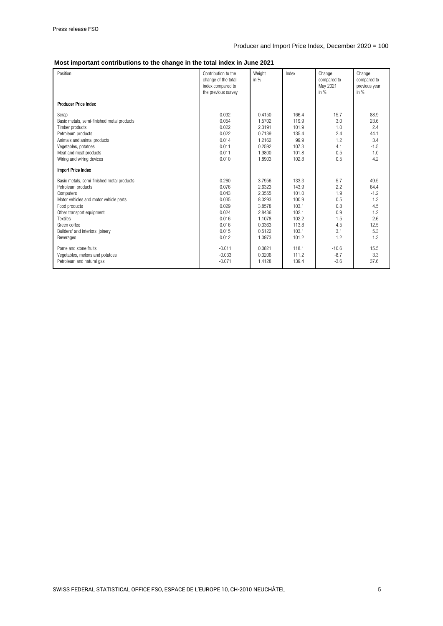#### **Most important contributions to the change in the total index in June 2021**

| Position                                   | Contribution to the<br>change of the total<br>index compared to<br>the previous survey | Weight<br>in $%$ | Index | Change<br>compared to<br>May 2021<br>in $%$ | Change<br>compared to<br>previous year<br>in $%$ |
|--------------------------------------------|----------------------------------------------------------------------------------------|------------------|-------|---------------------------------------------|--------------------------------------------------|
| <b>Producer Price Index</b>                |                                                                                        |                  |       |                                             |                                                  |
| Scrap                                      | 0.092                                                                                  | 0.4150           | 166.4 | 15.7                                        | 88.9                                             |
| Basic metals, semi-finished metal products | 0.054                                                                                  | 1.5702           | 119.9 | 3.0                                         | 23.6                                             |
| Timber products                            | 0.022                                                                                  | 2.3191           | 101.9 | 1.0                                         | 2.4                                              |
| Petroleum products                         | 0.022                                                                                  | 0.7139           | 135.4 | 2.4                                         | 44.1                                             |
| Animals and animal products                | 0.014                                                                                  | 1.2162           | 99.9  | 1.2                                         | 3.4                                              |
| Vegetables, potatoes                       | 0.011                                                                                  | 0.2592           | 107.3 | 4.1                                         | $-1.5$                                           |
| Meat and meat products                     | 0.011                                                                                  | 1.9800           | 101.8 | 0.5                                         | 1.0                                              |
| Wiring and wiring devices                  | 0.010                                                                                  | 1.8903           | 102.8 | 0.5                                         | 4.2                                              |
| Import Price Index                         |                                                                                        |                  |       |                                             |                                                  |
| Basic metals, semi-finished metal products | 0.260                                                                                  | 3.7956           | 133.3 | 5.7                                         | 49.5                                             |
| Petroleum products                         | 0.076                                                                                  | 2.6323           | 143.9 | 2.2                                         | 64.4                                             |
| Computers                                  | 0.043                                                                                  | 2.3555           | 101.0 | 1.9                                         | $-1.2$                                           |
| Motor vehicles and motor vehicle parts     | 0.035                                                                                  | 8.0293           | 100.9 | 0.5                                         | 1.3                                              |
| Food products                              | 0.029                                                                                  | 3.8578           | 103.1 | 0.8                                         | 4.5                                              |
| Other transport equipment                  | 0.024                                                                                  | 2.8436           | 102.1 | 0.9                                         | 1.2                                              |
| Textiles                                   | 0.016                                                                                  | 1.1078           | 102.2 | 1.5                                         | 2.6                                              |
| Green coffee                               | 0.016                                                                                  | 0.3363           | 113.8 | 4.5                                         | 12.5                                             |
| Builders' and interiors' joinery           | 0.015                                                                                  | 0.5122           | 103.1 | 3.1                                         | 5.3                                              |
| Beverages                                  | 0.012                                                                                  | 1.0973           | 101.2 | 1.2                                         | 1.3                                              |
| Pome and stone fruits                      | $-0.011$                                                                               | 0.0821           | 118.1 | $-10.6$                                     | 15.5                                             |
| Vegetables, melons and potatoes            | $-0.033$                                                                               | 0.3206           | 111.2 | $-8.7$                                      | 3.3                                              |
| Petroleum and natural gas                  | $-0.071$                                                                               | 1.4128           | 139.4 | $-3.6$                                      | 37.6                                             |